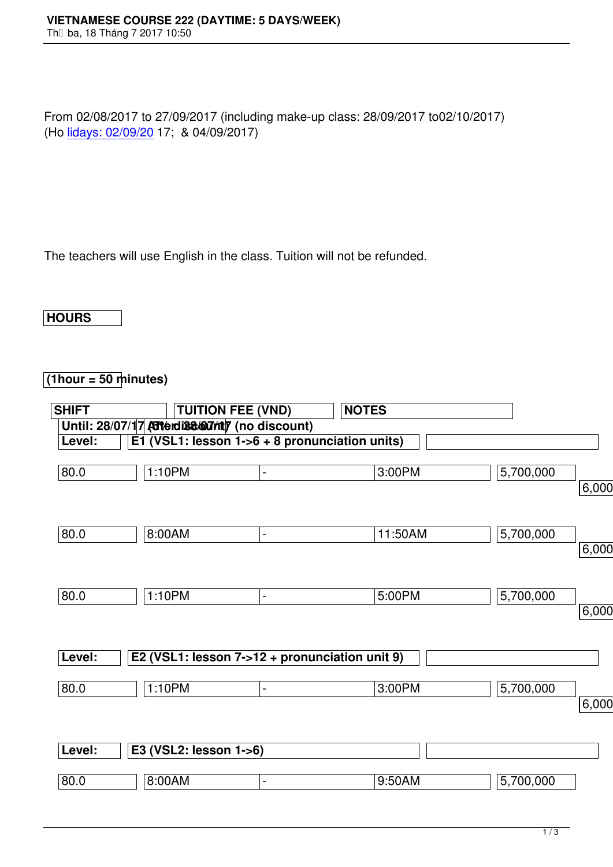From 02/08/2017 to 27/09/2017 (including make-up class: 28/09/2017 to02/10/2017) (Ho lidays: 02/09/20 17; & 04/09/2017)

The teachers will use English in the class. Tuition will not be refunded.

**HOURS**

## **(1hour = 50 minutes)**

| <b>SHIFT</b> | <b>TUITION FEE (VND)</b>                        |                          | <b>NOTES</b> |           |          |
|--------------|-------------------------------------------------|--------------------------|--------------|-----------|----------|
|              | Until: 28/07/17 Atterdiscount) (no discount)    |                          |              |           |          |
| Level:       | E1 (VSL1: lesson $1-6 + 8$ pronunciation units) |                          |              |           |          |
| 80.0         | 1:10PM                                          | $\blacksquare$           | 3:00PM       | 5,700,000 | 6,000,00 |
| 80.0         | 8:00AM                                          | $\overline{\phantom{0}}$ | 11:50AM      | 5,700,000 |          |
|              |                                                 |                          |              |           | 6,000,00 |
| 80.0         | 1:10PM                                          | $\blacksquare$           | 5:00PM       | 5,700,000 | 6,000,00 |
| Level:       | E2 (VSL1: lesson 7->12 + pronunciation unit 9)  |                          |              |           |          |
| 80.0         | 1:10PM                                          | $\overline{\phantom{a}}$ | 3:00PM       | 5,700,000 | 6,000,00 |
| Level:       | E3 (VSL2: lesson 1->6)                          |                          |              |           |          |
| 80.0         | 8:00AM                                          |                          | 9:50AM       | 5,700,000 |          |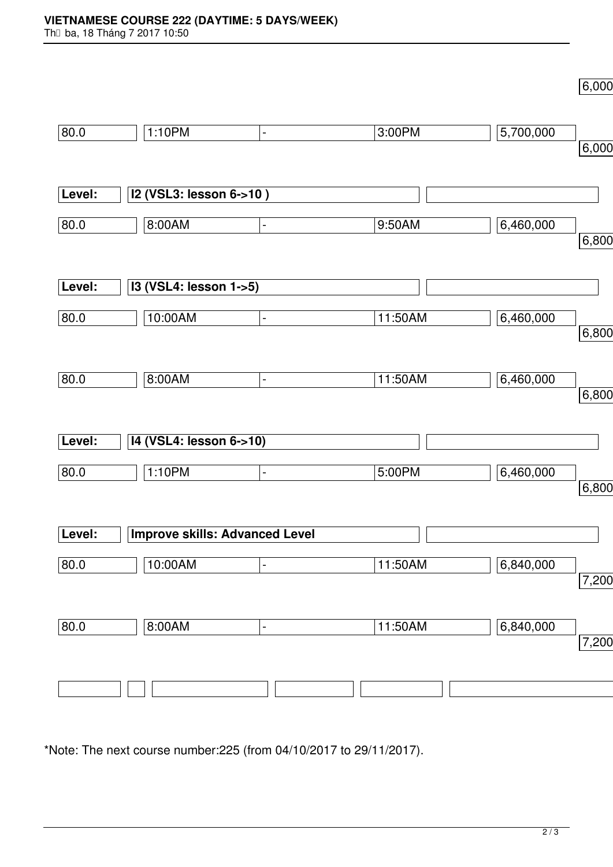$6,000$ 

| 80.0   | 1:10PM                                | $\blacksquare$               | 3:00PM  | 5,700,000 |                |
|--------|---------------------------------------|------------------------------|---------|-----------|----------------|
|        |                                       |                              |         |           | 6,000          |
|        |                                       |                              |         |           |                |
| Level: | I2 (VSL3: lesson 6->10)               |                              |         |           |                |
|        |                                       |                              |         |           |                |
| 80.0   | 8:00AM                                | $\qquad \qquad \blacksquare$ | 9:50AM  | 6,460,000 |                |
|        |                                       |                              |         |           | 6,800          |
|        |                                       |                              |         |           |                |
| Level: | I3 (VSL4: lesson 1->5)                |                              |         |           |                |
|        |                                       |                              |         |           |                |
| 80.0   | 10:00AM                               | $\blacksquare$               | 11:50AM | 6,460,000 |                |
|        |                                       |                              |         |           | 6,800          |
|        |                                       |                              |         |           |                |
| 80.0   | 8:00AM                                | $\qquad \qquad \blacksquare$ | 11:50AM | 6,460,000 |                |
|        |                                       |                              |         |           | 6,800          |
|        |                                       |                              |         |           |                |
| Level: | 14 (VSL4: lesson 6->10)               |                              |         |           |                |
|        |                                       |                              |         |           |                |
| 80.0   | 1:10PM                                | $\qquad \qquad \blacksquare$ | 5:00PM  | 6,460,000 |                |
|        |                                       |                              |         |           | 6,800          |
|        |                                       |                              |         |           |                |
| Level: | <b>Improve skills: Advanced Level</b> |                              |         |           |                |
|        |                                       |                              |         |           |                |
| 80.0   | 10:00AM                               | $\qquad \qquad \blacksquare$ | 11:50AM | 6,840,000 |                |
|        |                                       |                              |         |           | $\sqrt{7,200}$ |
|        |                                       |                              |         |           |                |
| 80.0   | 8:00AM                                | $\qquad \qquad \blacksquare$ | 11:50AM | 6,840,000 |                |
|        |                                       |                              |         |           | 7,200          |
|        |                                       |                              |         |           |                |
|        |                                       |                              |         |           |                |
|        |                                       |                              |         |           |                |
|        |                                       |                              |         |           |                |

\*Note: The next course number:225 (from 04/10/2017 to 29/11/2017).